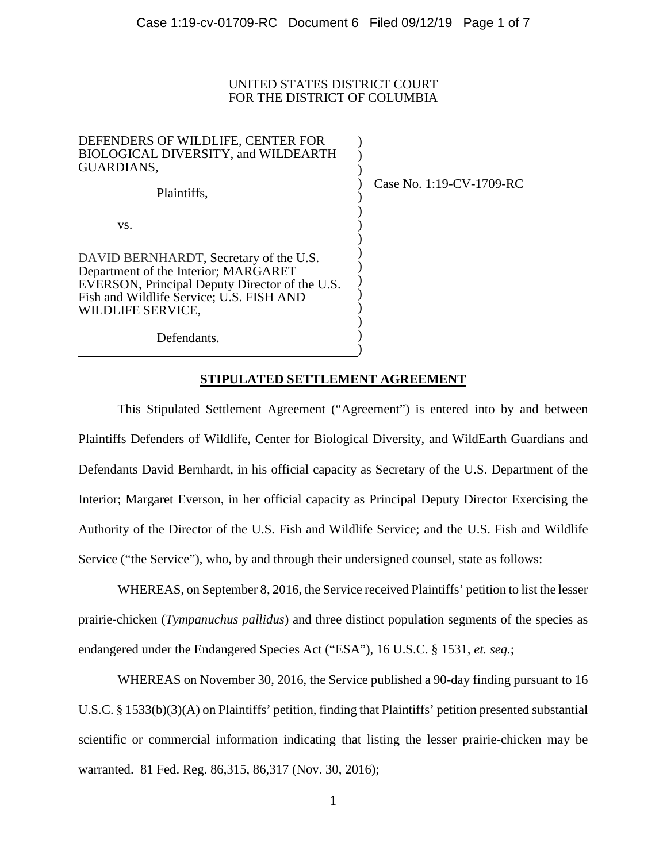#### UNITED STATES DISTRICT COURT FOR THE DISTRICT OF COLUMBIA

| DEFENDERS OF WILDLIFE, CENTER FOR<br>BIOLOGICAL DIVERSITY, and WILDEARTH<br>GUARDIANS,                                                                                                            |  |
|---------------------------------------------------------------------------------------------------------------------------------------------------------------------------------------------------|--|
| Plaintiffs,                                                                                                                                                                                       |  |
| VS.                                                                                                                                                                                               |  |
| DAVID BERNHARDT, Secretary of the U.S.<br>Department of the Interior; MARGARET<br>EVERSON, Principal Deputy Director of the U.S.<br>Fish and Wildlife Service; U.S. FISH AND<br>WILDLIFE SERVICE. |  |
| Defendants.                                                                                                                                                                                       |  |

Case No. 1:19-CV-1709-RC

Defendants.

### **STIPULATED SETTLEMENT AGREEMENT**

)

This Stipulated Settlement Agreement ("Agreement") is entered into by and between Plaintiffs Defenders of Wildlife, Center for Biological Diversity, and WildEarth Guardians and Defendants David Bernhardt, in his official capacity as Secretary of the U.S. Department of the Interior; Margaret Everson, in her official capacity as Principal Deputy Director Exercising the Authority of the Director of the U.S. Fish and Wildlife Service; and the U.S. Fish and Wildlife Service ("the Service"), who, by and through their undersigned counsel, state as follows:

WHEREAS, on September 8, 2016, the Service received Plaintiffs' petition to list the lesser prairie-chicken (*Tympanuchus pallidus*) and three distinct population segments of the species as endangered under the Endangered Species Act ("ESA"), 16 U.S.C. § 1531, *et. seq.*;

WHEREAS on November 30, 2016, the Service published a 90-day finding pursuant to 16 U.S.C. § 1533(b)(3)(A) on Plaintiffs' petition, finding that Plaintiffs' petition presented substantial scientific or commercial information indicating that listing the lesser prairie-chicken may be warranted. 81 Fed. Reg. 86,315, 86,317 (Nov. 30, 2016);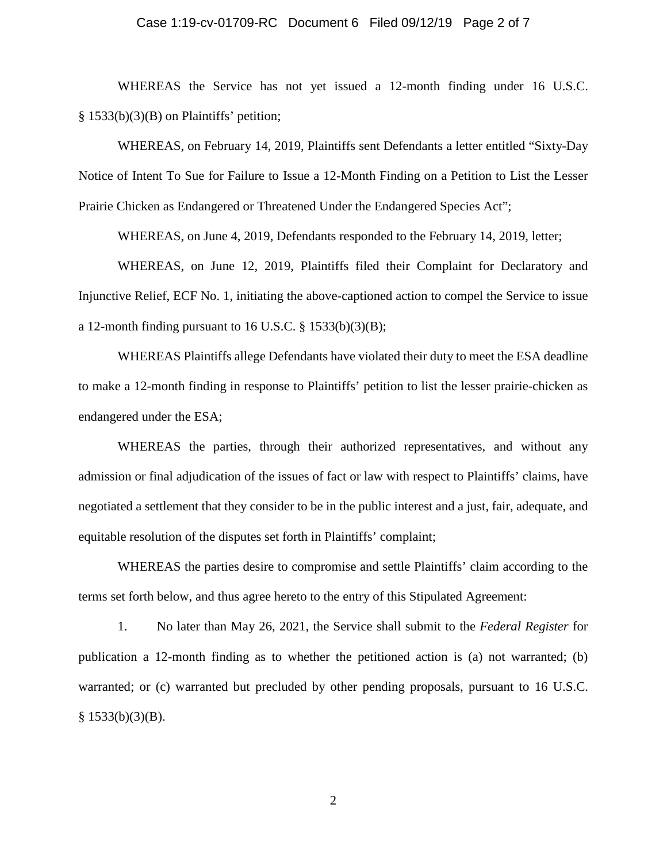### Case 1:19-cv-01709-RC Document 6 Filed 09/12/19 Page 2 of 7

WHEREAS the Service has not yet issued a 12-month finding under 16 U.S.C. § 1533(b)(3)(B) on Plaintiffs' petition;

WHEREAS, on February 14, 2019, Plaintiffs sent Defendants a letter entitled "Sixty-Day Notice of Intent To Sue for Failure to Issue a 12-Month Finding on a Petition to List the Lesser Prairie Chicken as Endangered or Threatened Under the Endangered Species Act";

WHEREAS, on June 4, 2019, Defendants responded to the February 14, 2019, letter;

WHEREAS, on June 12, 2019, Plaintiffs filed their Complaint for Declaratory and Injunctive Relief, ECF No. 1, initiating the above-captioned action to compel the Service to issue a 12-month finding pursuant to 16 U.S.C.  $\S$  1533(b)(3)(B);

WHEREAS Plaintiffs allege Defendants have violated their duty to meet the ESA deadline to make a 12-month finding in response to Plaintiffs' petition to list the lesser prairie-chicken as endangered under the ESA;

WHEREAS the parties, through their authorized representatives, and without any admission or final adjudication of the issues of fact or law with respect to Plaintiffs' claims, have negotiated a settlement that they consider to be in the public interest and a just, fair, adequate, and equitable resolution of the disputes set forth in Plaintiffs' complaint;

WHEREAS the parties desire to compromise and settle Plaintiffs' claim according to the terms set forth below, and thus agree hereto to the entry of this Stipulated Agreement:

1. No later than May 26, 2021, the Service shall submit to the *Federal Register* for publication a 12-month finding as to whether the petitioned action is (a) not warranted; (b) warranted; or (c) warranted but precluded by other pending proposals, pursuant to 16 U.S.C.  $§$  1533(b)(3)(B).

2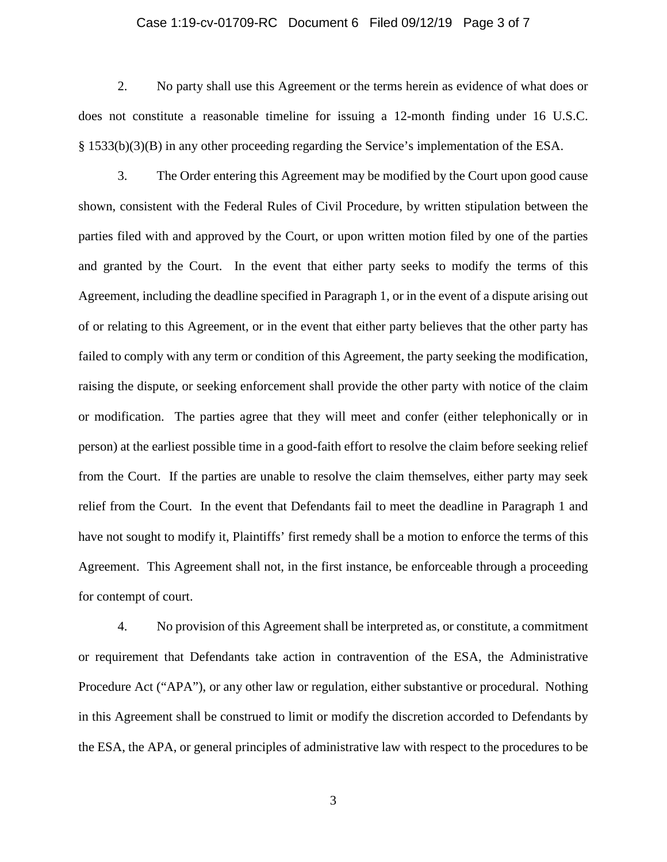### Case 1:19-cv-01709-RC Document 6 Filed 09/12/19 Page 3 of 7

2. No party shall use this Agreement or the terms herein as evidence of what does or does not constitute a reasonable timeline for issuing a 12-month finding under 16 U.S.C. § 1533(b)(3)(B) in any other proceeding regarding the Service's implementation of the ESA.

3. The Order entering this Agreement may be modified by the Court upon good cause shown, consistent with the Federal Rules of Civil Procedure, by written stipulation between the parties filed with and approved by the Court, or upon written motion filed by one of the parties and granted by the Court. In the event that either party seeks to modify the terms of this Agreement, including the deadline specified in Paragraph 1, or in the event of a dispute arising out of or relating to this Agreement, or in the event that either party believes that the other party has failed to comply with any term or condition of this Agreement, the party seeking the modification, raising the dispute, or seeking enforcement shall provide the other party with notice of the claim or modification. The parties agree that they will meet and confer (either telephonically or in person) at the earliest possible time in a good-faith effort to resolve the claim before seeking relief from the Court. If the parties are unable to resolve the claim themselves, either party may seek relief from the Court. In the event that Defendants fail to meet the deadline in Paragraph 1 and have not sought to modify it, Plaintiffs' first remedy shall be a motion to enforce the terms of this Agreement. This Agreement shall not, in the first instance, be enforceable through a proceeding for contempt of court.

4. No provision of this Agreement shall be interpreted as, or constitute, a commitment or requirement that Defendants take action in contravention of the ESA, the Administrative Procedure Act ("APA"), or any other law or regulation, either substantive or procedural. Nothing in this Agreement shall be construed to limit or modify the discretion accorded to Defendants by the ESA, the APA, or general principles of administrative law with respect to the procedures to be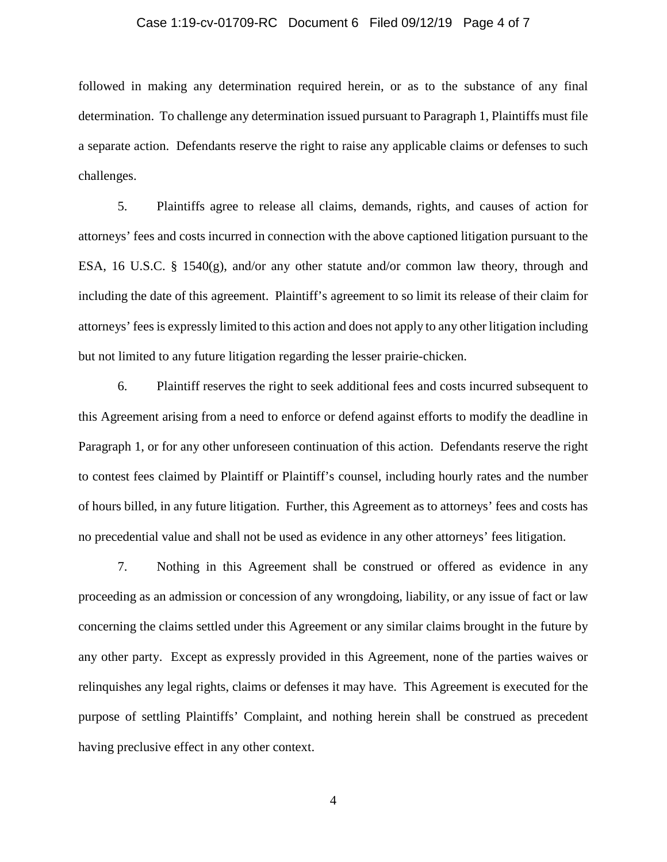### Case 1:19-cv-01709-RC Document 6 Filed 09/12/19 Page 4 of 7

followed in making any determination required herein, or as to the substance of any final determination. To challenge any determination issued pursuant to Paragraph 1, Plaintiffs must file a separate action. Defendants reserve the right to raise any applicable claims or defenses to such challenges.

5. Plaintiffs agree to release all claims, demands, rights, and causes of action for attorneys' fees and costs incurred in connection with the above captioned litigation pursuant to the ESA, 16 U.S.C. § 1540(g), and/or any other statute and/or common law theory, through and including the date of this agreement. Plaintiff's agreement to so limit its release of their claim for attorneys' fees is expressly limited to this action and does not apply to any other litigation including but not limited to any future litigation regarding the lesser prairie-chicken.

6. Plaintiff reserves the right to seek additional fees and costs incurred subsequent to this Agreement arising from a need to enforce or defend against efforts to modify the deadline in Paragraph 1, or for any other unforeseen continuation of this action. Defendants reserve the right to contest fees claimed by Plaintiff or Plaintiff's counsel, including hourly rates and the number of hours billed, in any future litigation. Further, this Agreement as to attorneys' fees and costs has no precedential value and shall not be used as evidence in any other attorneys' fees litigation.

7. Nothing in this Agreement shall be construed or offered as evidence in any proceeding as an admission or concession of any wrongdoing, liability, or any issue of fact or law concerning the claims settled under this Agreement or any similar claims brought in the future by any other party. Except as expressly provided in this Agreement, none of the parties waives or relinquishes any legal rights, claims or defenses it may have. This Agreement is executed for the purpose of settling Plaintiffs' Complaint, and nothing herein shall be construed as precedent having preclusive effect in any other context.

4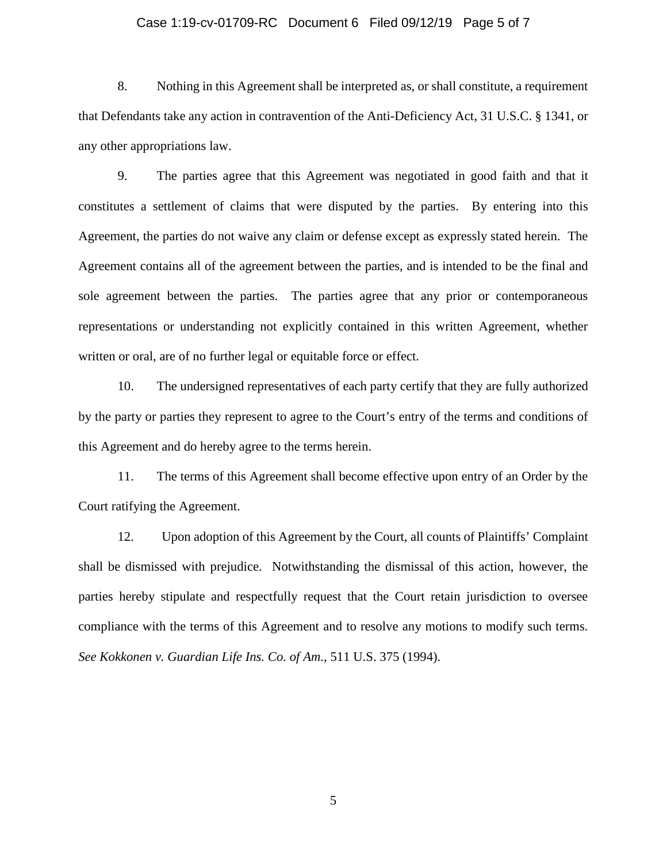### Case 1:19-cv-01709-RC Document 6 Filed 09/12/19 Page 5 of 7

8. Nothing in this Agreement shall be interpreted as, or shall constitute, a requirement that Defendants take any action in contravention of the Anti-Deficiency Act, 31 U.S.C. § 1341, or any other appropriations law.

9. The parties agree that this Agreement was negotiated in good faith and that it constitutes a settlement of claims that were disputed by the parties. By entering into this Agreement, the parties do not waive any claim or defense except as expressly stated herein. The Agreement contains all of the agreement between the parties, and is intended to be the final and sole agreement between the parties. The parties agree that any prior or contemporaneous representations or understanding not explicitly contained in this written Agreement, whether written or oral, are of no further legal or equitable force or effect.

10. The undersigned representatives of each party certify that they are fully authorized by the party or parties they represent to agree to the Court's entry of the terms and conditions of this Agreement and do hereby agree to the terms herein.

11. The terms of this Agreement shall become effective upon entry of an Order by the Court ratifying the Agreement.

12. Upon adoption of this Agreement by the Court, all counts of Plaintiffs' Complaint shall be dismissed with prejudice. Notwithstanding the dismissal of this action, however, the parties hereby stipulate and respectfully request that the Court retain jurisdiction to oversee compliance with the terms of this Agreement and to resolve any motions to modify such terms*. See Kokkonen v. Guardian Life Ins. Co. of Am.*, 511 U.S. 375 (1994).

5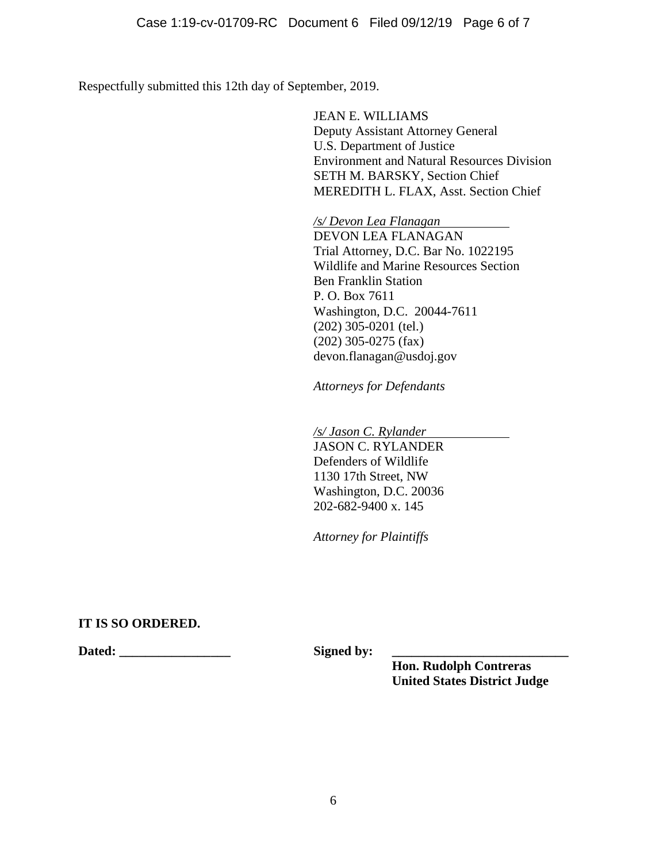Respectfully submitted this 12th day of September, 2019.

JEAN E. WILLIAMS Deputy Assistant Attorney General U.S. Department of Justice Environment and Natural Resources Division SETH M. BARSKY, Section Chief MEREDITH L. FLAX, Asst. Section Chief

*/s/ Devon Lea Flanagan* DEVON LEA FLANAGAN Trial Attorney, D.C. Bar No. 1022195 Wildlife and Marine Resources Section Ben Franklin Station P. O. Box 7611 Washington, D.C. 20044-7611 (202) 305-0201 (tel.) (202) 305-0275 (fax) devon.flanagan@usdoj.gov

*Attorneys for Defendants*

*/s/ Jason C. Rylander*  JASON C. RYLANDER Defenders of Wildlife 1130 17th Street, NW Washington, D.C. 20036 202-682-9400 x. 145

*Attorney for Plaintiffs*

# **IT IS SO ORDERED.**

**Dated: \_\_\_\_\_\_\_\_\_\_\_\_\_\_\_\_\_ Signed by: \_\_\_\_\_\_\_\_\_\_\_\_\_\_\_\_\_\_\_\_\_\_\_\_\_\_\_**

**Hon. Rudolph Contreras United States District Judge**